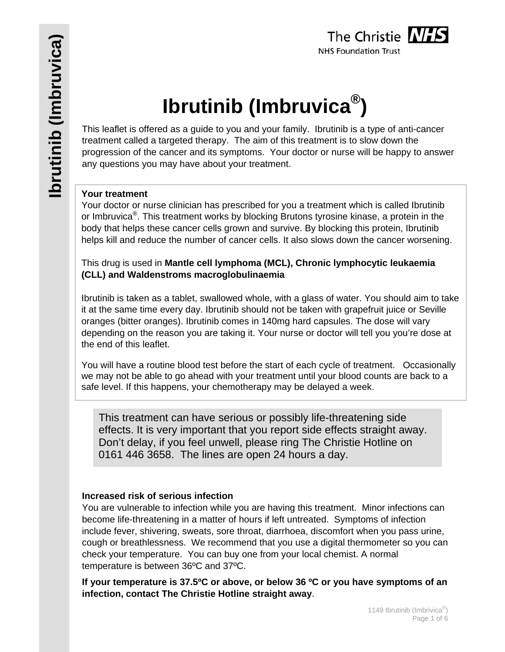

**Ibrutinib (Imbruvica®)** 

This leaflet is offered as a guide to you and your family. Ibrutinib is a type of anti-cancer treatment called a targeted therapy. The aim of this treatment is to slow down the progression of the cancer and its symptoms. Your doctor or nurse will be happy to answer any questions you may have about your treatment.

#### **Your treatment**

Your doctor or nurse clinician has prescribed for you a treatment which is called Ibrutinib or Imbruvica®. This treatment works by blocking Brutons tyrosine kinase, a protein in the body that helps these cancer cells grown and survive. By blocking this protein, Ibrutinib helps kill and reduce the number of cancer cells. It also slows down the cancer worsening.

This drug is used in **Mantle cell lymphoma (MCL), Chronic lymphocytic leukaemia (CLL) and Waldenstroms macroglobulinaemia** 

Ibrutinib is taken as a tablet, swallowed whole, with a glass of water. You should aim to take it at the same time every day. Ibrutinib should not be taken with grapefruit juice or Seville oranges (bitter oranges). Ibrutinib comes in 140mg hard capsules. The dose will vary depending on the reason you are taking it. Your nurse or doctor will tell you you're dose at the end of this leaflet.

You will have a routine blood test before the start of each cycle of treatment. Occasionally we may not be able to go ahead with your treatment until your blood counts are back to a safe level. If this happens, your chemotherapy may be delayed a week.

This treatment can have serious or possibly life-threatening side effects. It is very important that you report side effects straight away. Don't delay, if you feel unwell, please ring The Christie Hotline on 0161 446 3658. The lines are open 24 hours a day.

#### **Increased risk of serious infection**

You are vulnerable to infection while you are having this treatment. Minor infections can become life-threatening in a matter of hours if left untreated. Symptoms of infection include fever, shivering, sweats, sore throat, diarrhoea, discomfort when you pass urine, cough or breathlessness. We recommend that you use a digital thermometer so you can check your temperature. You can buy one from your local chemist. A normal temperature is between 36ºC and 37ºC.

**If your temperature is 37.5ºC or above, or below 36 ºC or you have symptoms of an infection, contact The Christie Hotline straight away**.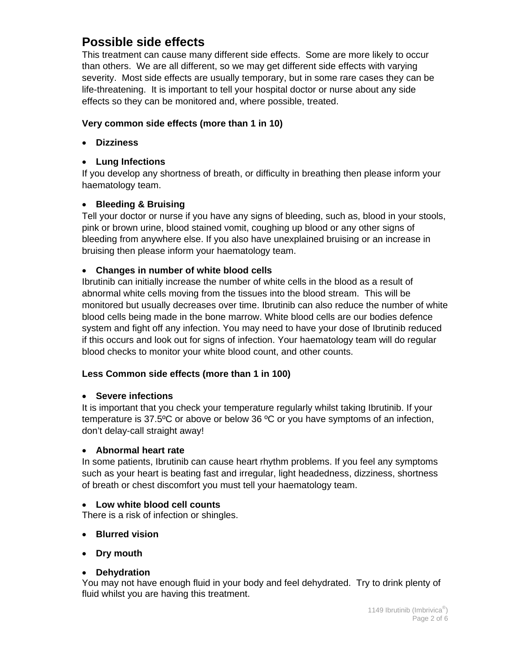# **Possible side effects**

This treatment can cause many different side effects. Some are more likely to occur than others. We are all different, so we may get different side effects with varying severity. Most side effects are usually temporary, but in some rare cases they can be life-threatening. It is important to tell your hospital doctor or nurse about any side effects so they can be monitored and, where possible, treated.

## **Very common side effects (more than 1 in 10)**

**Dizziness** 

# **Lung Infections**

If you develop any shortness of breath, or difficulty in breathing then please inform your haematology team.

## **Bleeding & Bruising**

Tell your doctor or nurse if you have any signs of bleeding, such as, blood in your stools, pink or brown urine, blood stained vomit, coughing up blood or any other signs of bleeding from anywhere else. If you also have unexplained bruising or an increase in bruising then please inform your haematology team.

## **Changes in number of white blood cells**

Ibrutinib can initially increase the number of white cells in the blood as a result of abnormal white cells moving from the tissues into the blood stream. This will be monitored but usually decreases over time. Ibrutinib can also reduce the number of white blood cells being made in the bone marrow. White blood cells are our bodies defence system and fight off any infection. You may need to have your dose of Ibrutinib reduced if this occurs and look out for signs of infection. Your haematology team will do regular blood checks to monitor your white blood count, and other counts.

# **Less Common side effects (more than 1 in 100)**

#### **Severe infections**

It is important that you check your temperature regularly whilst taking Ibrutinib. If your temperature is 37.5ºC or above or below 36 ºC or you have symptoms of an infection, don't delay-call straight away!

#### **Abnormal heart rate**

In some patients, Ibrutinib can cause heart rhythm problems. If you feel any symptoms such as your heart is beating fast and irregular, light headedness, dizziness, shortness of breath or chest discomfort you must tell your haematology team.

# **Low white blood cell counts**

There is a risk of infection or shingles.

- **Blurred vision**
- **Dry mouth**

# **Dehydration**

You may not have enough fluid in your body and feel dehydrated. Try to drink plenty of fluid whilst you are having this treatment.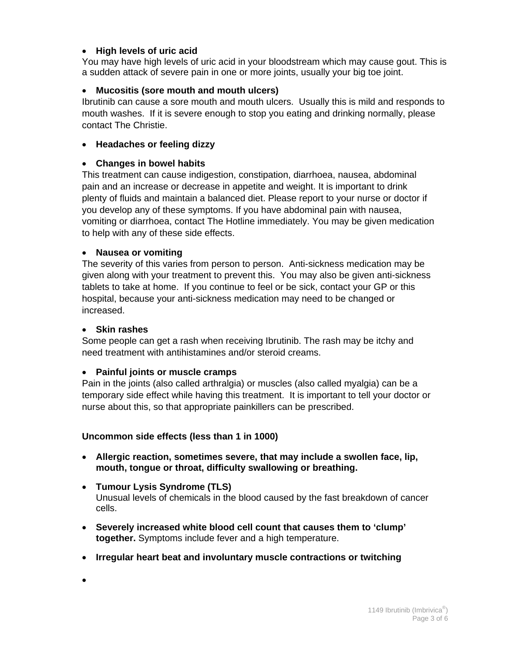#### **High levels of uric acid**

You may have high levels of uric acid in your bloodstream which may cause gout. This is a sudden attack of severe pain in one or more joints, usually your big toe joint.

# **Mucositis (sore mouth and mouth ulcers)**

Ibrutinib can cause a sore mouth and mouth ulcers. Usually this is mild and responds to mouth washes. If it is severe enough to stop you eating and drinking normally, please contact The Christie.

## **Headaches or feeling dizzy**

#### **Changes in bowel habits**

This treatment can cause indigestion, constipation, diarrhoea, nausea, abdominal pain and an increase or decrease in appetite and weight. It is important to drink plenty of fluids and maintain a balanced diet. Please report to your nurse or doctor if you develop any of these symptoms. If you have abdominal pain with nausea, vomiting or diarrhoea, contact The Hotline immediately. You may be given medication to help with any of these side effects.

#### **Nausea or vomiting**

The severity of this varies from person to person. Anti-sickness medication may be given along with your treatment to prevent this. You may also be given anti-sickness tablets to take at home. If you continue to feel or be sick, contact your GP or this hospital, because your anti-sickness medication may need to be changed or increased.

#### **Skin rashes**

Some people can get a rash when receiving Ibrutinib. The rash may be itchy and need treatment with antihistamines and/or steroid creams.

# **Painful joints or muscle cramps**

Pain in the joints (also called arthralgia) or muscles (also called myalgia) can be a temporary side effect while having this treatment. It is important to tell your doctor or nurse about this, so that appropriate painkillers can be prescribed.

# **Uncommon side effects (less than 1 in 1000)**

- **Allergic reaction, sometimes severe, that may include a swollen face, lip, mouth, tongue or throat, difficulty swallowing or breathing.**
- **Tumour Lysis Syndrome (TLS)**  Unusual levels of chemicals in the blood caused by the fast breakdown of cancer cells.
- **Severely increased white blood cell count that causes them to 'clump' together.** Symptoms include fever and a high temperature.
- **Irregular heart beat and involuntary muscle contractions or twitching**
- $\bullet$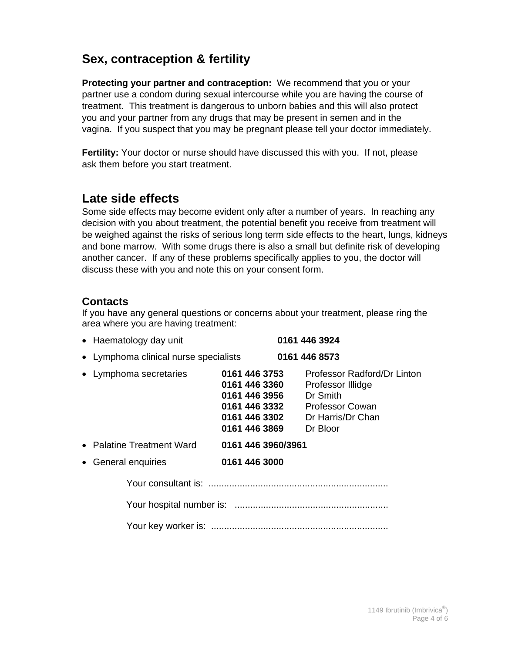# **Sex, contraception & fertility**

**Protecting your partner and contraception:** We recommend that you or your partner use a condom during sexual intercourse while you are having the course of treatment. This treatment is dangerous to unborn babies and this will also protect you and your partner from any drugs that may be present in semen and in the vagina. If you suspect that you may be pregnant please tell your doctor immediately.

**Fertility:** Your doctor or nurse should have discussed this with you. If not, please ask them before you start treatment.

# **Late side effects**

Some side effects may become evident only after a number of years. In reaching any decision with you about treatment, the potential benefit you receive from treatment will be weighed against the risks of serious long term side effects to the heart, lungs, kidneys and bone marrow. With some drugs there is also a small but definite risk of developing another cancer. If any of these problems specifically applies to you, the doctor will discuss these with you and note this on your consent form.

# **Contacts**

If you have any general questions or concerns about your treatment, please ring the area where you are having treatment:

| • Haematology day unit                |                                                                                                    | 0161 446 3924                                                                                                           |  |  |
|---------------------------------------|----------------------------------------------------------------------------------------------------|-------------------------------------------------------------------------------------------------------------------------|--|--|
| • Lymphoma clinical nurse specialists |                                                                                                    | 0161 446 8573                                                                                                           |  |  |
| • Lymphoma secretaries                | 0161 446 3753<br>0161 446 3360<br>0161 446 3956<br>0161 446 3332<br>0161 446 3302<br>0161 446 3869 | Professor Radford/Dr Linton<br>Professor Illidge<br>Dr Smith<br><b>Professor Cowan</b><br>Dr Harris/Dr Chan<br>Dr Bloor |  |  |
| • Palatine Treatment Ward             | 0161 446 3960/3961                                                                                 |                                                                                                                         |  |  |
| • General enquiries                   | 0161 446 3000                                                                                      |                                                                                                                         |  |  |
|                                       |                                                                                                    |                                                                                                                         |  |  |
|                                       |                                                                                                    |                                                                                                                         |  |  |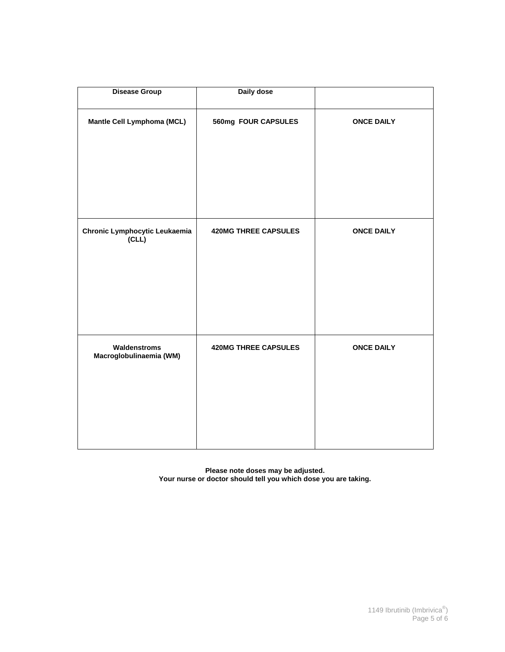| <b>Disease Group</b>                    | Daily dose                  |                   |
|-----------------------------------------|-----------------------------|-------------------|
| Mantle Cell Lymphoma (MCL)              | 560mg FOUR CAPSULES         | <b>ONCE DAILY</b> |
| Chronic Lymphocytic Leukaemia<br>CLL)   | <b>420MG THREE CAPSULES</b> | <b>ONCE DAILY</b> |
| Waldenstroms<br>Macroglobulinaemia (WM) | <b>420MG THREE CAPSULES</b> | <b>ONCE DAILY</b> |

**Please note doses may be adjusted. Your nurse or doctor should tell you which dose you are taking.**